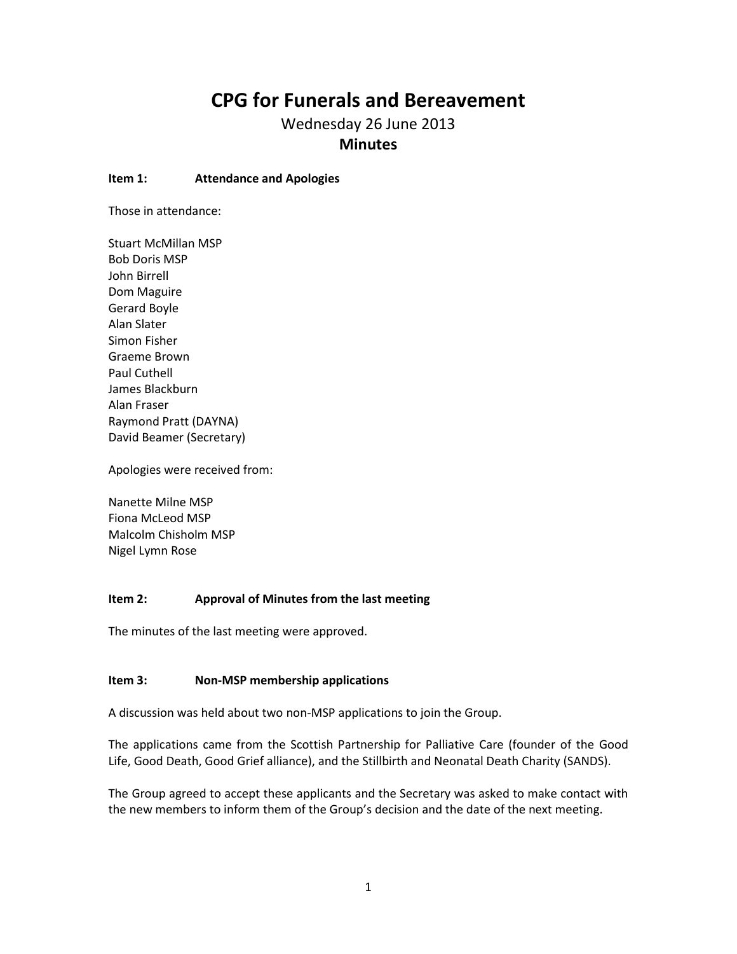# **CPG for Funerals and Bereavement**

Wednesday 26 June 2013

# **Minutes**

### **Item 1: Attendance and Apologies**

Those in attendance:

Stuart McMillan MSP Bob Doris MSP John Birrell Dom Maguire Gerard Boyle Alan Slater Simon Fisher Graeme Brown Paul Cuthell James Blackburn Alan Fraser Raymond Pratt (DAYNA) David Beamer (Secretary)

Apologies were received from:

Nanette Milne MSP Fiona McLeod MSP Malcolm Chisholm MSP Nigel Lymn Rose

#### **Item 2: Approval of Minutes from the last meeting**

The minutes of the last meeting were approved.

#### **Item 3: Non-MSP membership applications**

A discussion was held about two non-MSP applications to join the Group.

The applications came from the Scottish Partnership for Palliative Care (founder of the Good Life, Good Death, Good Grief alliance), and the Stillbirth and Neonatal Death Charity (SANDS).

The Group agreed to accept these applicants and the Secretary was asked to make contact with the new members to inform them of the Group's decision and the date of the next meeting.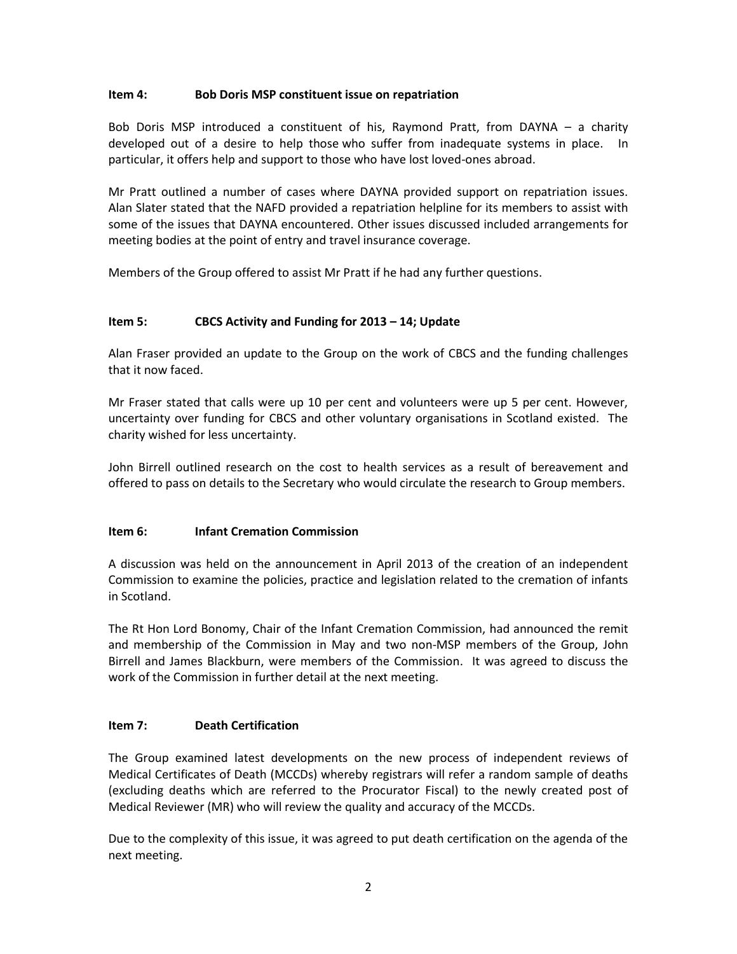## **Item 4: Bob Doris MSP constituent issue on repatriation**

Bob Doris MSP introduced a constituent of his, Raymond Pratt, from DAYNA – a charity developed out of a desire to help those who suffer from inadequate systems in place. In particular, it offers help and support to those who have lost loved-ones abroad.

Mr Pratt outlined a number of cases where DAYNA provided support on repatriation issues. Alan Slater stated that the NAFD provided a repatriation helpline for its members to assist with some of the issues that DAYNA encountered. Other issues discussed included arrangements for meeting bodies at the point of entry and travel insurance coverage.

Members of the Group offered to assist Mr Pratt if he had any further questions.

# **Item 5: CBCS Activity and Funding for 2013 – 14; Update**

Alan Fraser provided an update to the Group on the work of CBCS and the funding challenges that it now faced.

Mr Fraser stated that calls were up 10 per cent and volunteers were up 5 per cent. However, uncertainty over funding for CBCS and other voluntary organisations in Scotland existed. The charity wished for less uncertainty.

John Birrell outlined research on the cost to health services as a result of bereavement and offered to pass on details to the Secretary who would circulate the research to Group members.

# **Item 6: Infant Cremation Commission**

A discussion was held on the announcement in April 2013 of the creation of an independent Commission to examine the policies, practice and legislation related to the cremation of infants in Scotland.

The Rt Hon Lord Bonomy, Chair of the Infant Cremation Commission, had announced the remit and membership of the Commission in May and two non-MSP members of the Group, John Birrell and James Blackburn, were members of the Commission. It was agreed to discuss the work of the Commission in further detail at the next meeting.

# **Item 7: Death Certification**

The Group examined latest developments on the new process of independent reviews of Medical Certificates of Death (MCCDs) whereby registrars will refer a random sample of deaths (excluding deaths which are referred to the Procurator Fiscal) to the newly created post of Medical Reviewer (MR) who will review the quality and accuracy of the MCCDs.

Due to the complexity of this issue, it was agreed to put death certification on the agenda of the next meeting.